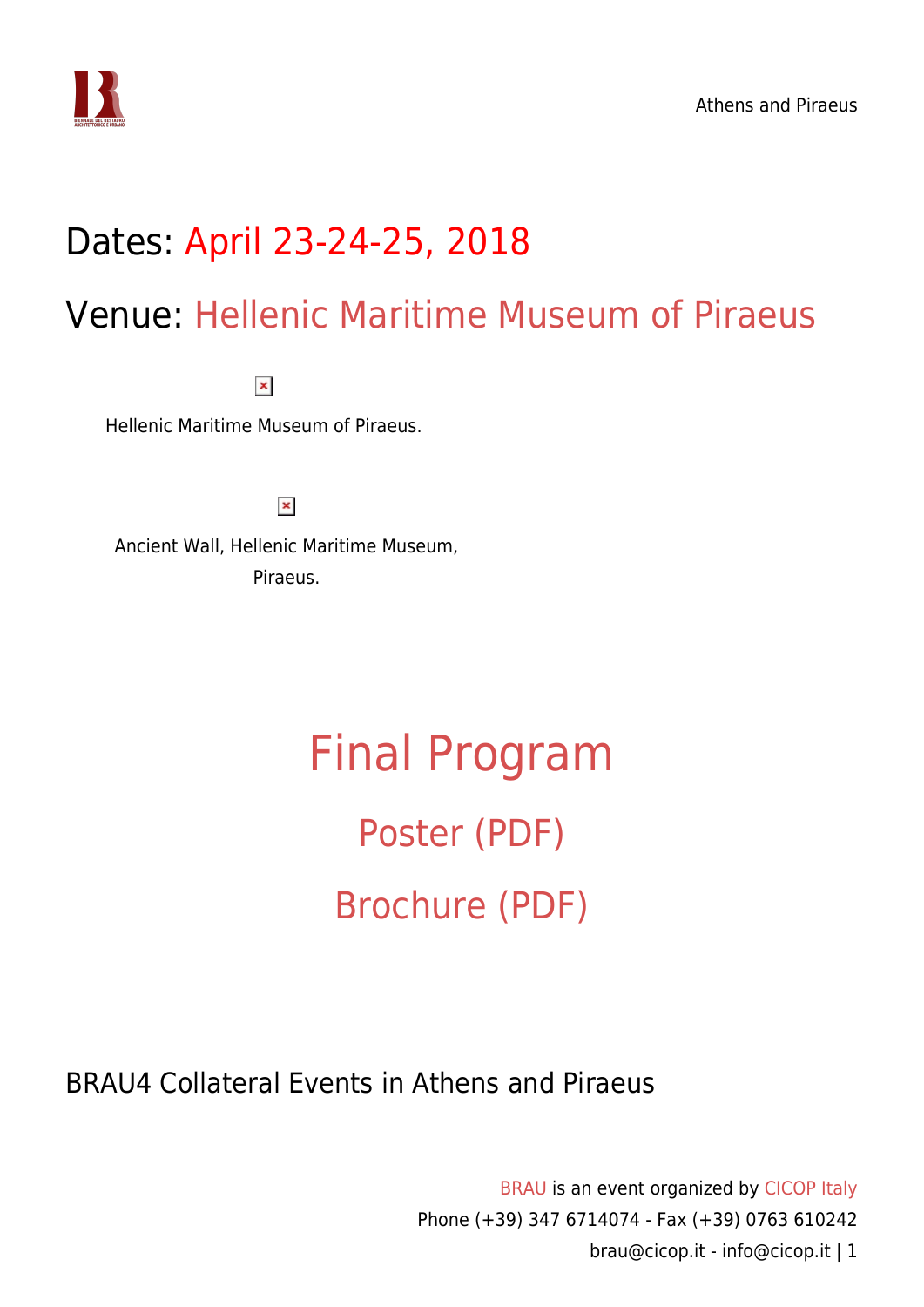

## Dates: April 23-24-25, 2018

### Venue: [Hellenic Maritime Museum of Piraeus](http://hmmuseum.gr/)

 $\pmb{\times}$ 

Hellenic Maritime Museum of Piraeus.

 $\pmb{\times}$ 

Ancient Wall, Hellenic Maritime Museum, Piraeus.

# [Final Program](https://www.cicop.it/brau/en/brau4-locations/athens-and-piraeus/final-program/) [Poster \(PDF\)](https://www.cicop.it/brau/wp-content/uploads/2018/02/BRAU4-Athens-and-Pireaus-Brochure.opt_.pdf) [Brochure \(PDF\)](https://www.cicop.it/brau/wp-content/uploads/2018/04/BRAU4-Athens-and-Pireaus-Brochure.pdf)

BRAU4 Collateral Events in Athens and Piraeus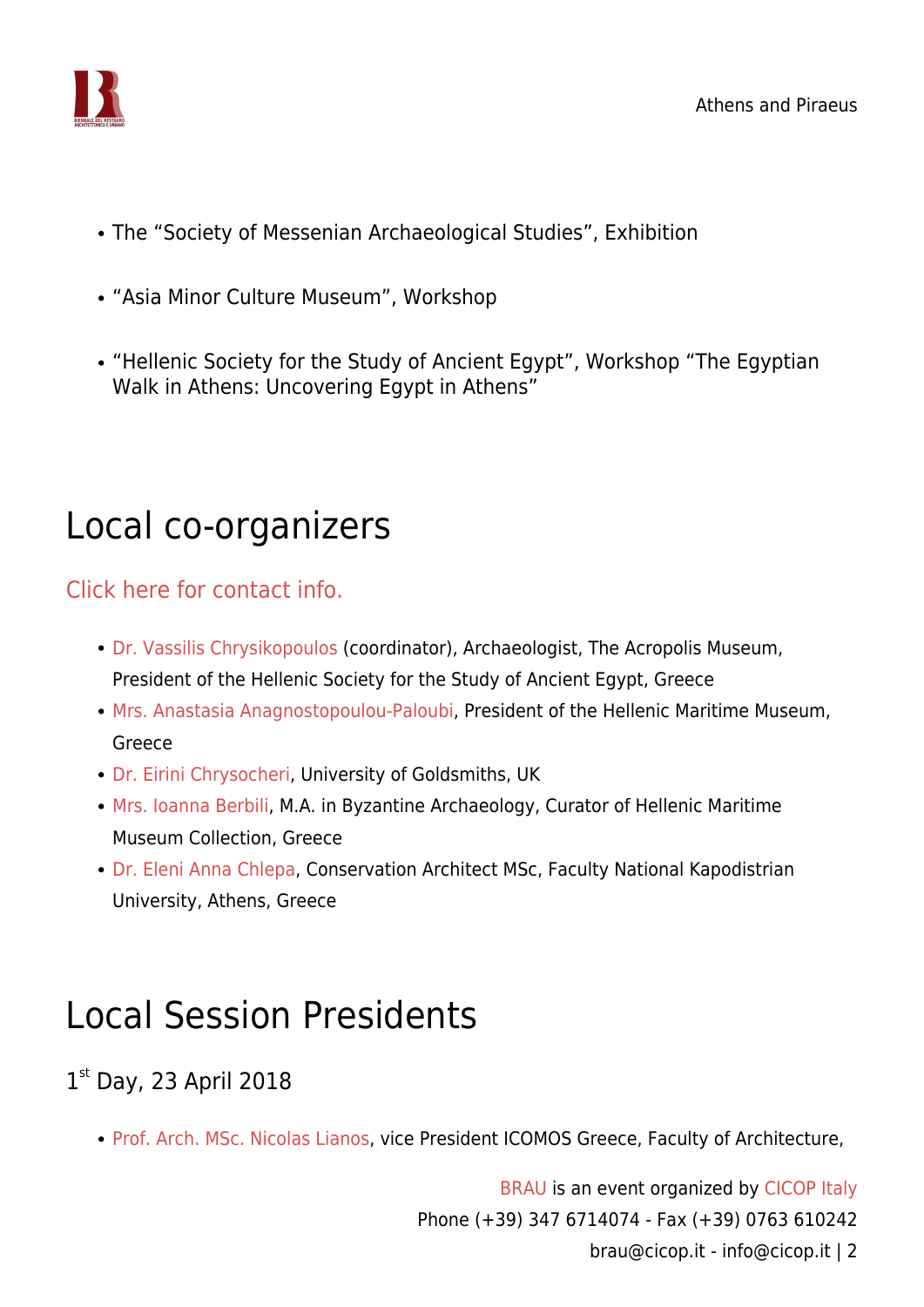

- The "Society of Messenian Archaeological Studies", Exhibition
- "Asia Minor Culture Museum", Workshop
- "Hellenic Society for the Study of Ancient Egypt", Workshop "The Egyptian Walk in Athens: Uncovering Egypt in Athens"

### Local co-organizers

[Click here for contact info.](https://www.cicop.it/brau/it/local-organizers-contact-info/)

- [Dr. Vassilis Chrysikopoulos](https://www.cicop.it/brau/en/people/vassilis-chrysikopoulos/) (coordinator), Archaeologist, The Acropolis Museum, President of the Hellenic Society for the Study of Ancient Egypt, Greece
- [Mrs. Anastasia Anagnostopoulou-Paloubi](https://www.cicop.it/brau/en/people/anastasia-anagnostopoulou-paloubi/), President of the Hellenic Maritime Museum, Greece
- [Dr. Eirini Chrysocheri,](https://www.cicop.it/brau/en/people/irene-chryshocheri/) University of Goldsmiths, UK
- [Mrs. Ioanna Berbili](https://www.cicop.it/brau/en/people/ioanna-berbili/), M.A. in Byzantine Archaeology, Curator of Hellenic Maritime Museum Collection, Greece
- [Dr. Eleni Anna Chlepa](https://www.cicop.it/brau/en/people/eleni-anna-chlepa/), Conservation Architect MSc, Faculty National Kapodistrian University, Athens, Greece

## Local Session Presidents

1st Day, 23 April 2018

• [Prof. Arch. MSc. Nicolas Lianos](https://www.cicop.it/brau/en/people/nikolaos-lianos/), vice President ICOMOS Greece, Faculty of Architecture,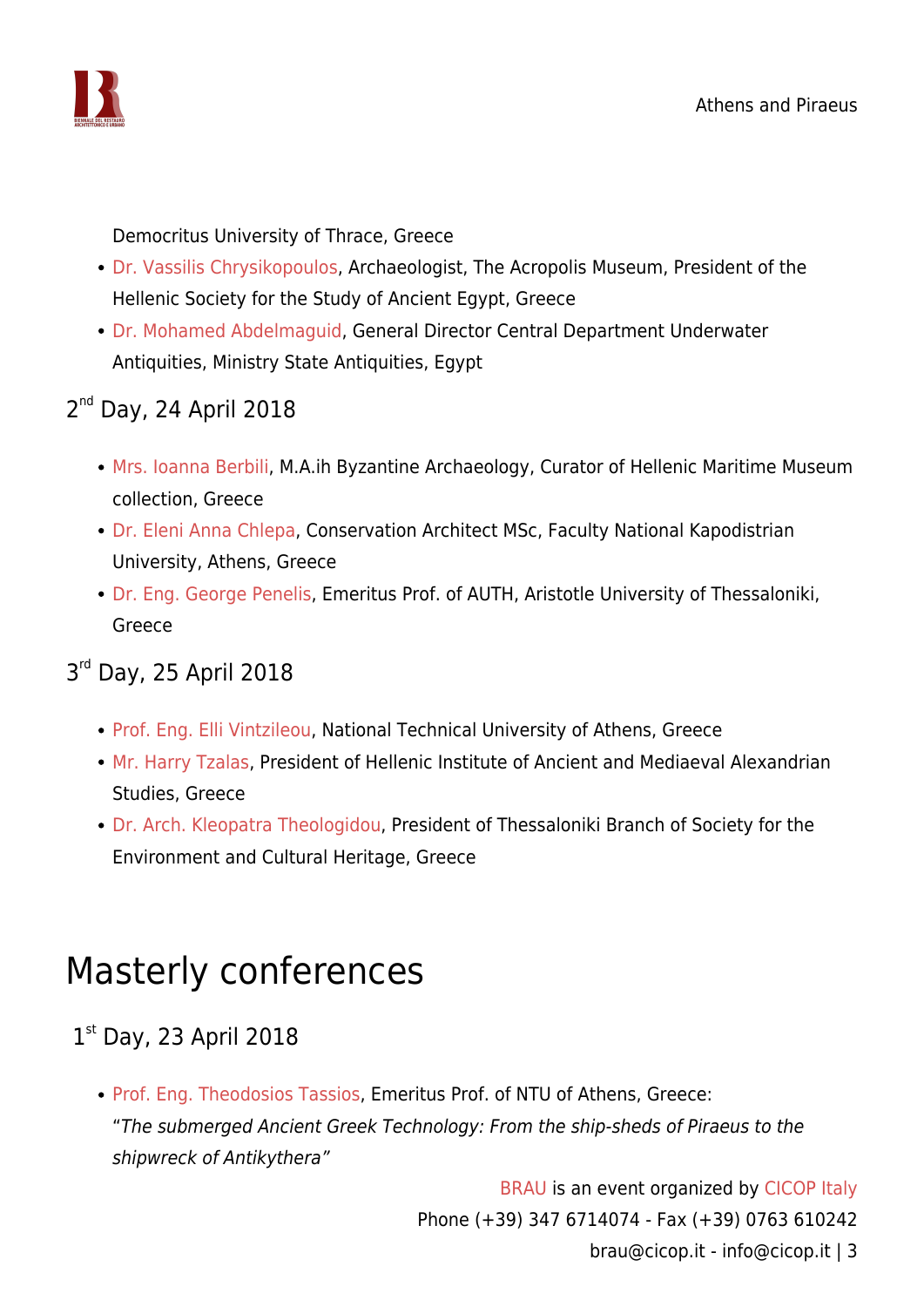

Democritus University of Thrace, Greece

- [Dr. Vassilis Chrysikopoulos,](https://www.cicop.it/brau/en/people/vassilis-chrysikopoulos/) Archaeologist, The Acropolis Museum, President of the Hellenic Society for the Study of Ancient Egypt, Greece
- [Dr. Mohamed Abdelmaguid](https://independent.academia.edu/MohamedAbdelmaguid/CurriculumVitae), General Director Central Department Underwater Antiquities, Ministry State Antiquities, Egypt

#### 2<sup>nd</sup> Day, 24 April 2018

- [Mrs. Ioanna Berbili](https://www.cicop.it/brau/en/people/ioanna-berbili/), M.A.ih Byzantine Archaeology, Curator of Hellenic Maritime Museum collection, Greece
- [Dr. Eleni Anna Chlepa](https://www.cicop.it/brau/en/people/eleni-anna-chlepa/), Conservation Architect MSc, Faculty National Kapodistrian University, Athens, Greece
- [Dr. Eng. George Penelis,](https://www.cicop.it/brau/en/people/george-penelis/) Emeritus Prof. of AUTH, Aristotle University of Thessaloniki, Greece

### 3<sup>rd</sup> Day, 25 April 2018

- [Prof. Eng. Elli Vintzileou,](https://www.cicop.it/brau/en/people/elli-vintzileou/) National Technical University of Athens, Greece
- [Mr. Harry Tzalas,](https://www.cicop.it/brau/en/people/harry-tzalas/) President of Hellenic Institute of Ancient and Mediaeval Alexandrian Studies, Greece
- [Dr. Arch. Kleopatra Theologidou,](https://www.cicop.it/brau/en/people/kleopatra-theologidou/) President of Thessaloniki Branch of Society for the Environment and Cultural Heritage, Greece

### Masterly conferences

### 1st Day, 23 April 2018

• [Prof. Eng. Theodosios Tassios](https://www.cicop.it/brau/en/people/theodosios-tassios/), Emeritus Prof. of NTU of Athens, Greece: "The submerged Ancient Greek Technology: From the ship-sheds of Piraeus to the shipwreck of Antikythera"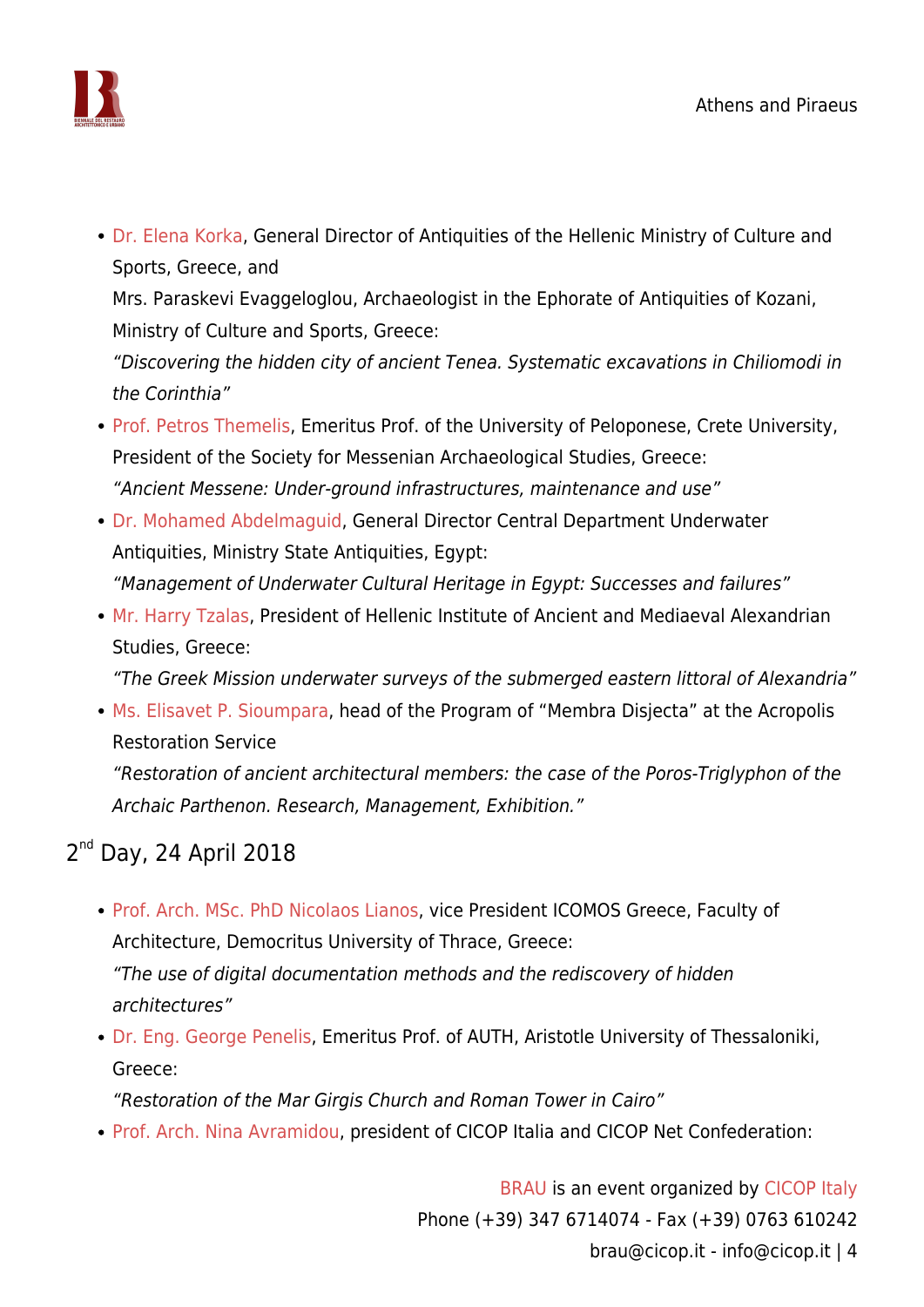

• [Dr. Elena Korka](https://www.cicop.it/brau/en/people/elena-korka/), General Director of Antiquities of the Hellenic Ministry of Culture and Sports, Greece, and Mrs. Paraskevi Evaggeloglou, Archaeologist in the Ephorate of Antiquities of Kozani,

Ministry of Culture and Sports, Greece:

"Discovering the hidden city of ancient Tenea. Systematic excavations in Chiliomodi in the Corinthia"

- [Prof. Petros Themelis](https://www.cicop.it/brau/en/people/petros-themelis/), Emeritus Prof. of the University of Peloponese, Crete University, President of the Society for Messenian Archaeological Studies, Greece: "Ancient Messene: Under-ground infrastructures, maintenance and use"
- [Dr. Mohamed Abdelmaguid](https://independent.academia.edu/MohamedAbdelmaguid/CurriculumVitae), General Director Central Department Underwater Antiquities, Ministry State Antiquities, Egypt: "Management of Underwater Cultural Heritage in Egypt: Successes and failures"
- [Mr. Harry Tzalas,](https://www.cicop.it/brau/en/people/harry-tzalas/) President of Hellenic Institute of Ancient and Mediaeval Alexandrian Studies, Greece:

"The Greek Mission underwater surveys of the submerged eastern littoral of Alexandria"

[Ms. Elisavet P. Sioumpara,](https://www.cicop.it/brau/en/people/elisavet-sioumpara/) head of the Program of "Membra Disjecta" at the Acropolis Restoration Service

"Restoration of ancient architectural members: the case of the Poros-Triglyphon of the Archaic Parthenon. Research, Management, Exhibition."

### 2<sup>nd</sup> Day, 24 April 2018

- [Prof. Arch. MSc. PhD Nicolaos Lianos,](https://www.cicop.it/brau/en/people/nikolaos-lianos/) vice President ICOMOS Greece, Faculty of Architecture, Democritus University of Thrace, Greece: "The use of digital documentation methods and the rediscovery of hidden architectures"
- [Dr. Eng. George Penelis,](https://www.cicop.it/brau/en/people/george-penelis/) Emeritus Prof. of AUTH, Aristotle University of Thessaloniki, Greece:

"Restoration of the Mar Girgis Church and Roman Tower in Cairo"

[Prof. Arch. Nina Avramidou,](https://www.cicop.it/brau/en/people/nina-avramidou/) president of CICOP Italia and CICOP Net Confederation: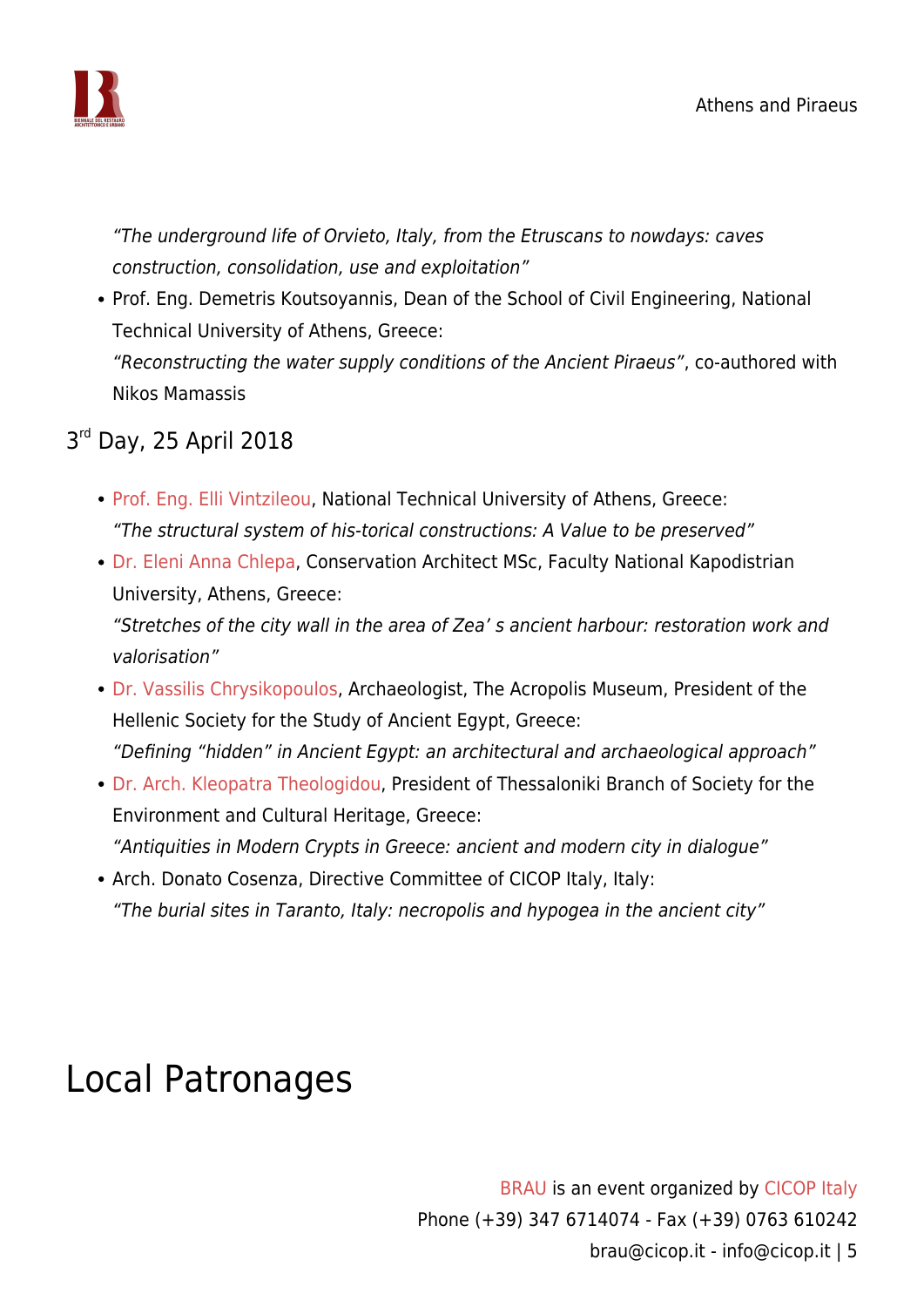

"The underground life of Orvieto, Italy, from the Etruscans to nowdays: caves construction, consolidation, use and exploitation"

• Prof. Eng. Demetris Koutsoyannis, Dean of the School of Civil Engineering, National Technical University of Athens, Greece: "Reconstructing the water supply conditions of the Ancient Piraeus", co-authored with

Nikos Mamassis

### 3<sup>rd</sup> Day, 25 April 2018

- [Prof. Eng. Elli Vintzileou,](https://www.cicop.it/brau/en/people/elli-vintzileou/) National Technical University of Athens, Greece: "The structural system of his-torical constructions: A Value to be preserved"
- [Dr. Eleni Anna Chlepa](https://www.cicop.it/brau/en/people/eleni-anna-chlepa/), Conservation Architect MSc, Faculty National Kapodistrian University, Athens, Greece:

"Stretches of the city wall in the area of Zea' s ancient harbour: restoration work and valorisation"

- [Dr. Vassilis Chrysikopoulos,](https://www.cicop.it/brau/en/people/vassilis-chrysikopoulos/) Archaeologist, The Acropolis Museum, President of the Hellenic Society for the Study of Ancient Egypt, Greece: "Defining "hidden" in Ancient Egypt: an architectural and archaeological approach"
- [Dr. Arch. Kleopatra Theologidou,](https://www.cicop.it/brau/en/people/kleopatra-theologidou/) President of Thessaloniki Branch of Society for the Environment and Cultural Heritage, Greece: "Antiquities in Modern Crypts in Greece: ancient and modern city in dialogue"
- Arch. Donato Cosenza, Directive Committee of CICOP Italy, Italy: "The burial sites in Taranto, Italy: necropolis and hypogea in the ancient city"

### Local Patronages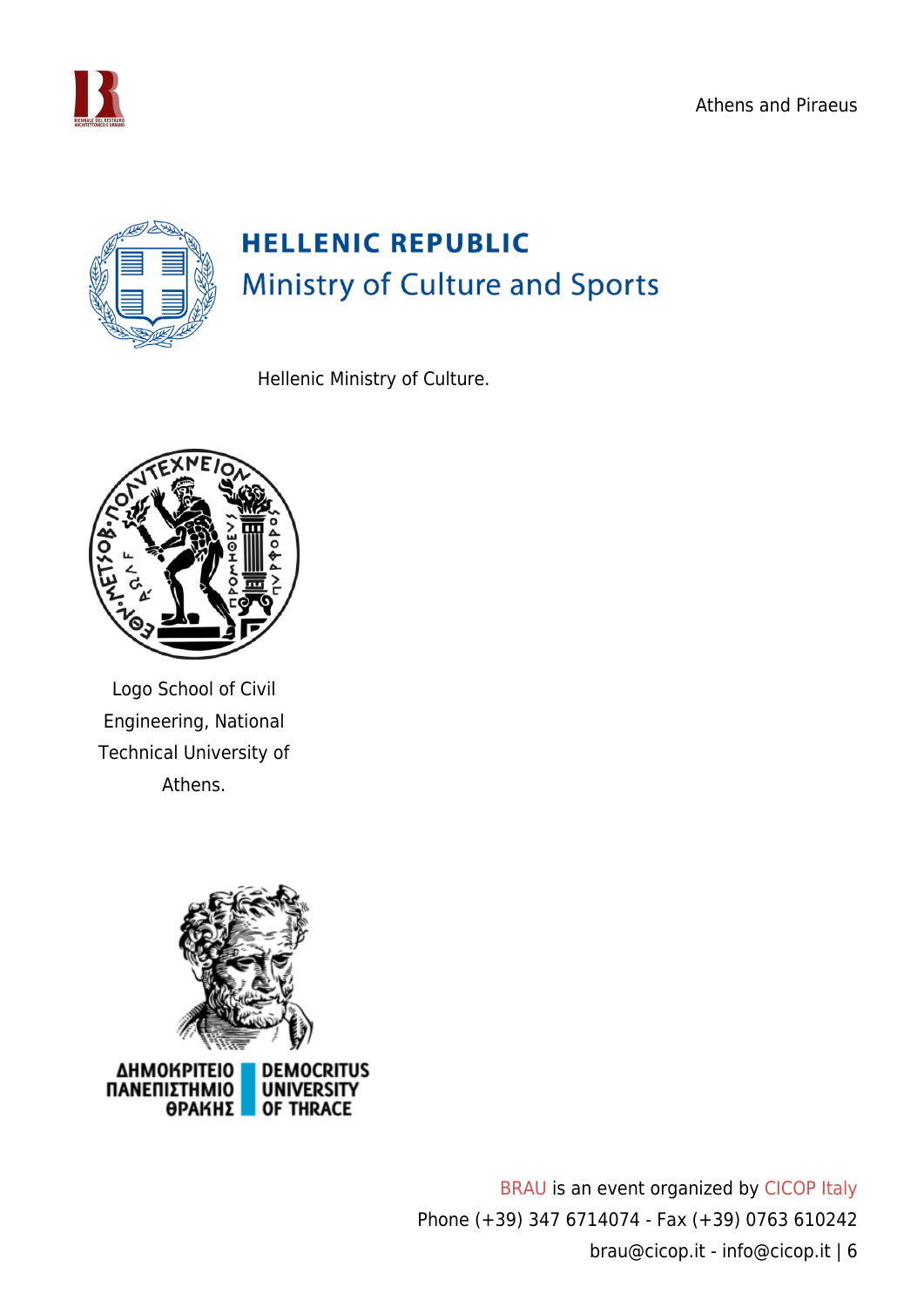Athens and Piraeus





Hellenic Ministry of Culture.



Logo School of Civil Engineering, National Technical University of Athens.



ΔΗΜΟΚΡΙΤΕΙΟ RITUS ΠΑΝΕΠΙΣΤΗΜΙΟ **UNIVERSITY ΘΡΑΚΗΣ OF THRACE**